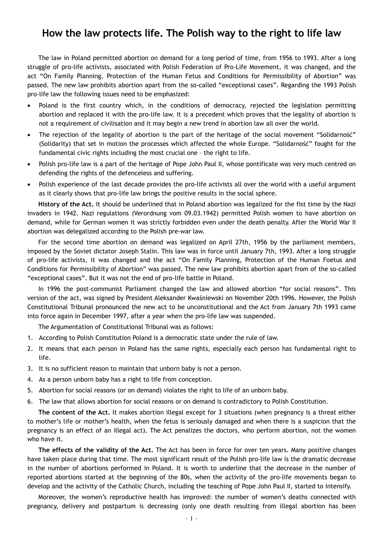# **How the law protects life. The Polish way to the right to life law**

The law in Poland permitted abortion on demand for a long period of time, from 1956 to 1993. After a long struggle of pro-life activists, associated with Polish Federation of Pro-Life Movement, it was changed, and the act "On Family Planning, Protection of the Human Fetus and Conditions for Permissibility of Abortion" was passed. The new law prohibits abortion apart from the so-called "exceptional cases". Regarding the 1993 Polish pro-life law the following issues need to be emphasized:

- Poland is the first country which, in the conditions of democracy, rejected the legislation permitting abortion and replaced it with the pro-life law. It is a precedent which proves that the legality of abortion is not a requirement of civilisation and it may begin a new trend in abortion law all over the world.
- The rejection of the legality of abortion is the part of the heritage of the social movement "Solidarność" (Solidarity) that set in motion the processes which affected the whole Europe. "Solidarność" fought for the fundamental civic rights including the most crucial one – the right to life.
- Polish pro-life law is a part of the heritage of Pope John Paul II, whose pontificate was very much centred on defending the rights of the defenceless and suffering.
- Polish experience of the last decade provides the pro-life activists all over the world with a useful argument as it clearly shows that pro-life law brings the positive results in the social sphere.

**History of the Act.** It should be underlined that in Poland abortion was legalized for the fist time by the Nazi invaders in 1942. Nazi regulations (Verordnung vom 09.03.1942) permitted Polish women to have abortion on demand, while for German women it was strictly forbidden even under the death penalty. After the World War II abortion was delegalized according to the Polish pre-war law.

For the second time abortion on demand was legalized on April 27th, 1956 by the parliament members, imposed by the Soviet dictator Joseph Stalin. This law was in force until January 7th, 1993. After a long struggle of pro-life activists, it was changed and the act "On Family Planning, Protection of the Human Foetus and Conditions for Permissibility of Abortion" was passed. The new law prohibits abortion apart from of the so-called "exceptional cases". But it was not the end of pro-life battle in Poland.

In 1996 the post-communist Parliament changed the law and allowed abortion "for social reasons". This version of the act, was signed by President Aleksander Kwaśniewski on November 20th 1996. However, the Polish Constitutional Tribunal pronounced the new act to be unconstitutional and the Act from January 7th 1993 came into force again in December 1997, after a year when the pro-life law was suspended.

The Argumentation of Constitutional Tribunal was as follows:

- 1. According to Polish Constitution Poland is a democratic state under the rule of law.
- 2. It means that each person in Poland has the same rights, especially each person has fundamental right to life.
- 3. It is no sufficient reason to maintain that unborn baby is not a person.
- 4. As a person unborn baby has a right to life from conception.
- 5. Abortion for social reasons (or on demand) violates the right to life of an unborn baby.
- 6. The law that allows abortion for social reasons or on demand is contradictory to Polish Constitution.

**The content of the Act.** It makes abortion illegal except for 3 situations (when pregnancy is a threat either to mother's life or mother's health, when the fetus is seriously damaged and when there is a suspicion that the pregnancy is an effect of an illegal act). The Act penalizes the doctors, who perform abortion, not the women who have it.

**The effects of the validity of the Act.** The Act has been in force for over ten years. Many positive changes have taken place during that time. The most significant result of the Polish pro-life law is the dramatic decrease in the number of abortions performed in Poland. It is worth to underline that the decrease in the number of reported abortions started at the beginning of the 80s, when the activity of the pro-life movements began to develop and the activity of the Catholic Church, including the teaching of Pope John Paul II, started to intensify.

Moreover, the women's reproductive health has improved: the number of women's deaths connected with pregnancy, delivery and postpartum is decreasing (only one death resulting from illegal abortion has been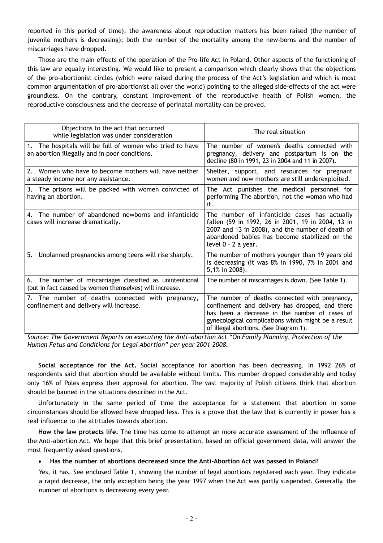reported in this period of time); the awareness about reproduction matters has been raised (the number of juvenile mothers is decreasing); both the number of the mortality among the new-borns and the number of miscarriages have dropped.

Those are the main effects of the operation of the Pro-life Act in Poland. Other aspects of the functioning of this law are equally interesting. We would like to present a comparison which clearly shows that the objections of the pro-abortionist circles (which were raised during the process of the Act's legislation and which is most common argumentation of pro-abortionist all over the world) pointing to the alleged side-effects of the act were groundless. On the contrary, constant improvement of the reproductive health of Polish women, the reproductive consciousness and the decrease of perinatal mortality can be proved.

| Objections to the act that occurred<br>while legislation was under consideration                                     | The real situation                                                                                                                                                                                                                                  |  |
|----------------------------------------------------------------------------------------------------------------------|-----------------------------------------------------------------------------------------------------------------------------------------------------------------------------------------------------------------------------------------------------|--|
| 1. The hospitals will be full of women who tried to have<br>an abortion illegally and in poor conditions.            | The number of women's deaths connected with<br>pregnancy, delivery and postpartum is on the<br>decline (80 in 1991, 23 in 2004 and 11 in 2007).                                                                                                     |  |
| 2. Women who have to become mothers will have neither<br>a steady income nor any assistance.                         | Shelter, support, and resources for pregnant<br>women and new mothers are still underexploited.                                                                                                                                                     |  |
| 3. The prisons will be packed with women convicted of<br>having an abortion.                                         | The Act punishes the medical personnel for<br>performing The abortion, not the woman who had<br>it.                                                                                                                                                 |  |
| 4. The number of abandoned newborns and infanticide<br>cases will increase dramatically.                             | The number of infanticide cases has actually<br>fallen (59 in 1992, 26 in 2001, 19 in 2004, 13 in<br>2007 and 13 in 2008), and the number of death of<br>abandoned babies has become stabilized on the<br>level $0 - 2$ a year.                     |  |
| 5.<br>Unplanned pregnancies among teens will rise sharply.                                                           | The number of mothers younger than 19 years old<br>is decreasing (it was 8% in 1990, 7% in 2001 and<br>5,1% in 2008).                                                                                                                               |  |
| 6. The number of miscarriages classified as unintentional<br>(but in fact caused by women themselves) will increase. | The number of miscarriages is down. (See Table 1).                                                                                                                                                                                                  |  |
| 7. The number of deaths connected with pregnancy,<br>confinement and delivery will increase.                         | The number of deaths connected with pregnancy,<br>confinement and delivery has dropped, and there<br>has been a decrease in the number of cases of<br>gynecological complications which might be a result<br>of illegal abortions. (See Diagram 1). |  |

*Source: The Government Reports on executing the Anti−abortion Act "On Family Planning, Protection of the Human Fetus and Conditions for Legal Abortion" per year 2001-2008.* 

**Social acceptance for the Act.** Social acceptance for abortion has been decreasing. In 1992 26% of respondents said that abortion should be available without limits. This number dropped considerably and today only 16% of Poles express their approval for abortion. The vast majority of Polish citizens think that abortion should be banned in the situations described in the Act.

Unfortunately in the same period of time the acceptance for a statement that abortion in some circumstances should be allowed have dropped less. This is a prove that the law that is currently in power has a real influence to the attitudes towards abortion.

**How the law protects life.** The time has come to attempt an more accurate assessment of the influence of the Anti-abortion Act. We hope that this brief presentation, based on official government data, will answer the most frequently asked questions.

#### • **Has the number of abortions decreased since the Anti-Abortion Act was passed in Poland?**

Yes, it has. See enclosed Table 1, showing the number of legal abortions registered each year. They indicate a rapid decrease, the only exception being the year 1997 when the Act was partly suspended. Generally, the number of abortions is decreasing every year.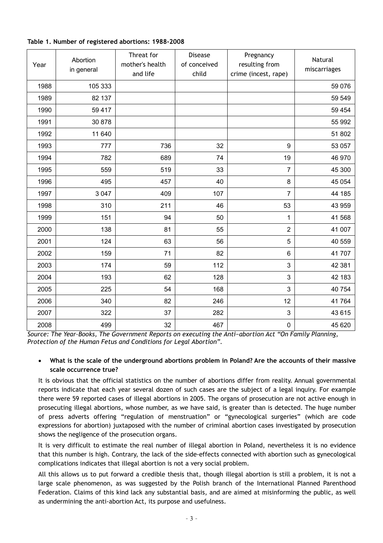| Year | Abortion<br>in general | Threat for<br>mother's health<br>and life | <b>Disease</b><br>of conceived<br>child | Pregnancy<br>resulting from<br>crime (incest, rape) | Natural<br>miscarriages |
|------|------------------------|-------------------------------------------|-----------------------------------------|-----------------------------------------------------|-------------------------|
| 1988 | 105 333                |                                           |                                         |                                                     | 59 076                  |
| 1989 | 82 137                 |                                           |                                         |                                                     | 59 549                  |
| 1990 | 59 417                 |                                           |                                         |                                                     | 59 454                  |
| 1991 | 30 878                 |                                           |                                         |                                                     | 55 992                  |
| 1992 | 11 640                 |                                           |                                         |                                                     | 51 802                  |
| 1993 | 777                    | 736                                       | 32                                      | 9                                                   | 53 057                  |
| 1994 | 782                    | 689                                       | 74                                      | 19                                                  | 46 970                  |
| 1995 | 559                    | 519                                       | 33                                      | $\overline{7}$                                      | 45 300                  |
| 1996 | 495                    | 457                                       | 40                                      | 8                                                   | 45 054                  |
| 1997 | 3 0 4 7                | 409                                       | 107                                     | $\overline{7}$                                      | 44 185                  |
| 1998 | 310                    | 211                                       | 46                                      | 53                                                  | 43 959                  |
| 1999 | 151                    | 94                                        | 50                                      | 1                                                   | 41 568                  |
| 2000 | 138                    | 81                                        | 55                                      | $\overline{2}$                                      | 41 007                  |
| 2001 | 124                    | 63                                        | 56                                      | 5                                                   | 40 559                  |
| 2002 | 159                    | 71                                        | 82                                      | $6\phantom{1}6$                                     | 41707                   |
| 2003 | 174                    | 59                                        | 112                                     | 3                                                   | 42 381                  |
| 2004 | 193                    | 62                                        | 128                                     | 3                                                   | 42 183                  |
| 2005 | 225                    | 54                                        | 168                                     | 3                                                   | 40 754                  |
| 2006 | 340                    | 82                                        | 246                                     | 12                                                  | 41764                   |
| 2007 | 322                    | 37                                        | 282                                     | 3                                                   | 43 615                  |
| 2008 | 499                    | 32                                        | 467                                     | $\pmb{0}$                                           | 45 620                  |

#### **Table 1. Number of registered abortions: 1988-2008**

*Source: The Year–Books, The Government Reports on executing the Anti−abortion Act "On Family Planning, Protection of the Human Fetus and Conditions for Legal Abortion".* 

### • **What is the scale of the underground abortions problem in Poland? Are the accounts of their massive scale occurrence true?**

It is obvious that the official statistics on the number of abortions differ from reality. Annual governmental reports indicate that each year several dozen of such cases are the subject of a legal inquiry. For example there were 59 reported cases of illegal abortions in 2005. The organs of prosecution are not active enough in prosecuting illegal abortions, whose number, as we have said, is greater than is detected. The huge number of press adverts offering "regulation of menstruation" or "gynecological surgeries" (which are code expressions for abortion) juxtaposed with the number of criminal abortion cases investigated by prosecution shows the negligence of the prosecution organs.

It is very difficult to estimate the real number of illegal abortion in Poland, nevertheless it is no evidence that this number is high. Contrary, the lack of the side-effects connected with abortion such as gynecological complications indicates that illegal abortion is not a very social problem.

All this allows us to put forward a credible thesis that, though illegal abortion is still a problem, it is not a large scale phenomenon, as was suggested by the Polish branch of the International Planned Parenthood Federation. Claims of this kind lack any substantial basis, and are aimed at misinforming the public, as well as undermining the anti-abortion Act, its purpose and usefulness.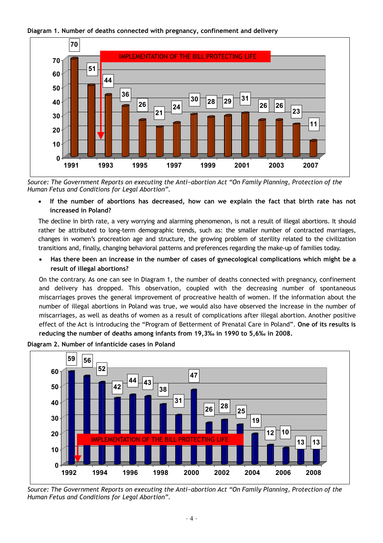



*Source: The Government Reports on executing the Anti−abortion Act "On Family Planning, Protection of the Human Fetus and Conditions for Legal Abortion".* 

• **If the number of abortions has decreased, how can we explain the fact that birth rate has not increased in Poland?** 

The decline in birth rate, a very worrying and alarming phenomenon, is not a result of illegal abortions. It should rather be attributed to long-term demographic trends, such as: the smaller number of contracted marriages, changes in women's procreation age and structure, the growing problem of sterility related to the civilization transitions and, finally, changing behavioral patterns and preferences regarding the make-up of families today.

• **Has there been an increase in the number of cases of gynecological complications which might be a result of illegal abortions?** 

On the contrary. As one can see in Diagram 1, the number of deaths connected with pregnancy, confinement and delivery has dropped. This observation, coupled with the decreasing number of spontaneous miscarriages proves the general improvement of procreative health of women. If the information about the number of illegal abortions in Poland was true, we would also have observed the increase in the number of miscarriages, as well as deaths of women as a result of complications after illegal abortion. Another positive effect of the Act is introducing the "Program of Betterment of Prenatal Care in Poland". **One of its results is reducing the number of deaths among infants from 19,3‰ in 1990 to 5,6‰ in 2008.** 



**Diagram 2. Number of infanticide cases in Poland** 

*Source: The Government Reports on executing the Anti−abortion Act "On Family Planning, Protection of the Human Fetus and Conditions for Legal Abortion".*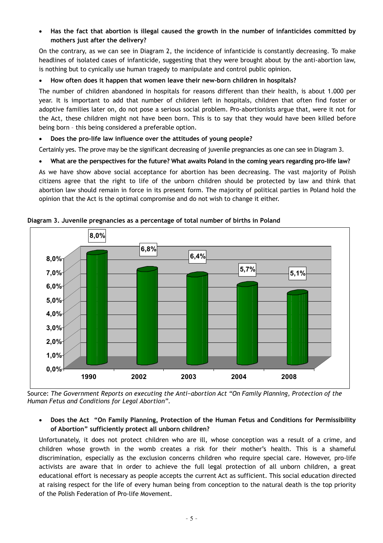• **Has the fact that abortion is illegal caused the growth in the number of infanticides committed by mothers just after the delivery?** 

On the contrary, as we can see in Diagram 2, the incidence of infanticide is constantly decreasing. To make headlines of isolated cases of infanticide, suggesting that they were brought about by the anti-abortion law, is nothing but to cynically use human tragedy to manipulate and control public opinion.

#### • **How often does it happen that women leave their new-born children in hospitals?**

The number of children abandoned in hospitals for reasons different than their health, is about 1.000 per year. It is important to add that number of children left in hospitals, children that often find foster or adoptive families later on, do not pose a serious social problem. Pro-abortionists argue that, were it not for the Act, these children might not have been born. This is to say that they would have been killed before being born – this being considered a preferable option.

#### • **Does the pro-life law influence over the attitudes of young people?**

Certainly yes. The prove may be the significant decreasing of juvenile pregnancies as one can see in Diagram 3.

#### • **What are the perspectives for the future? What awaits Poland in the coming years regarding pro-life law?**

As we have show above social acceptance for abortion has been decreasing. The vast majority of Polish citizens agree that the right to life of the unborn children should be protected by law and think that abortion law should remain in force in its present form. The majority of political parties in Poland hold the opinion that the Act is the optimal compromise and do not wish to change it either.



**Diagram 3. Juvenile pregnancies as a percentage of total number of births in Poland** 

Source: *The Government Reports on executing the Anti−abortion Act "On Family Planning, Protection of the Human Fetus and Conditions for Legal Abortion".* 

#### • **Does the Act "On Family Planning, Protection of the Human Fetus and Conditions for Permissibility of Abortion" sufficiently protect all unborn children?**

Unfortunately, it does not protect children who are ill, whose conception was a result of a crime, and children whose growth in the womb creates a risk for their mother's health. This is a shameful discrimination, especially as the exclusion concerns children who require special care. However, pro-life activists are aware that in order to achieve the full legal protection of all unborn children, a great educational effort is necessary as people accepts the current Act as sufficient. This social education directed at raising respect for the life of every human being from conception to the natural death is the top priority of the Polish Federation of Pro-life Movement.